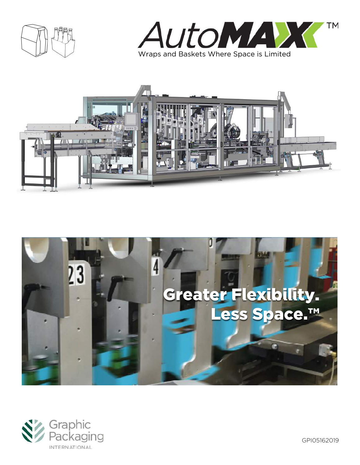







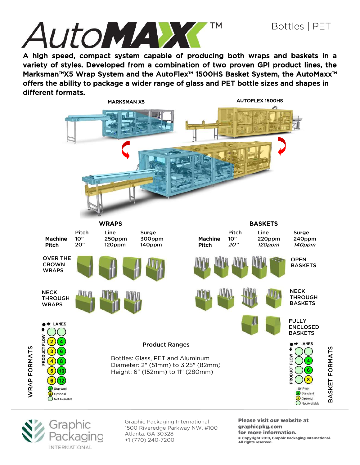

A high speed, compact system capable of producing both wraps and baskets in a variety of styles. Developed from a combination of two proven GPI product lines, the Marksman™X5 Wrap System and the AutoFlex™ 1500HS Basket System, the AutoMaxx<sup>™</sup> offers the ability to package a wider range of glass and PET bottle sizes and shapes in different formats.





WRAP FORMATS

**WRAP FORMATS** 

Graphic Packaging International 1500 Riveredge Parkway NW, #100 Atlanta, GA 30328 +1 (770) 240-7200

Please visit our website at graphicpkg.com for more information. © Copyright 2019, Graphic Packaging International. All rights reserved.

BASKET FORMATS

BASKET FORMATS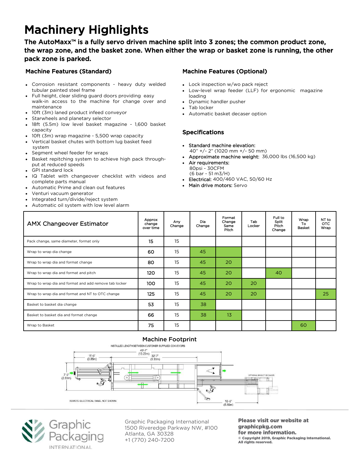# Machinery Highlights

The AutoMaxx™ is a fully servo driven machine split into 3 zones; the common product zone, the wrap zone, and the basket zone. When either the wrap or basket zone is running, the other pack zone is parked.

### Machine Features (Standard)

- Corrosion resistant components heavy duty welded tubular painted steel frame
- Full height, clear sliding guard doors providing easy walk-in access to the machine for change over and maintenance
- 10ft (3m) laned product infeed conveyor
- Starwheels and planetary selector
- 18ft (5.5m) low level basket magazine 1,600 basket capacity
- 10ft (3m) wrap magazine 5,500 wrap capacity
- Vertical basket chutes with bottom lug basket feed system
- Segment wheel feeder for wraps
- Basket repitching system to achieve high pack throughput at reduced speeds
- GPI standard lock
- IQ Tablet with changeover checklist with videos and complete parts manual
- Automatic Prime and clean out features
- Venturi vacuum generator
- Integrated turn/divide/reject system
- Automatic oil system with low level alarm

### Machine Features (Optional)

- Lock inspection w/wo pack reject
- Low-level wrap feeder (LLF) for ergonomic magazine loading
- Dynamic handler pusher
- Tab locker
- Automatic basket decaser option

#### Specifications

- Standard machine elevation: 40" +/- 2" (1020 mm +/- 50 mm)
- Approximate machine weight: 36,000 lbs (16,500 kg)
- Air requirements: 80psi - 30CFM (6 bar - 51 m3/H)
- Electrical: 400/460 VAC, 50/60 Hz
- Main drive motors: Servo

| <b>AMX Changeover Estimator</b>                       | Approx<br>change<br>over time | Any<br>Change | Dia<br>Change | Format<br>Change<br>Same<br>Pitch | Tab<br>Locker | Full to<br>Split<br>Pitch<br>Change | Wrap<br>Τо<br><b>Basket</b> | NT to<br>OTC.<br>Wrap |
|-------------------------------------------------------|-------------------------------|---------------|---------------|-----------------------------------|---------------|-------------------------------------|-----------------------------|-----------------------|
| Pack change, same diameter, format only               | 15                            | 15            |               |                                   |               |                                     |                             |                       |
| Wrap to wrap dia change                               | 60                            | 15            | 45            |                                   |               |                                     |                             |                       |
| Wrap to wrap dia and format change                    | 80                            | 15            | 45            | 20                                |               |                                     |                             |                       |
| Wrap to wrap dia and format and pitch                 | 120                           | 15            | 45            | 20                                |               | 40                                  |                             |                       |
| Wrap to wrap dia and format and add remove tab locker | 100                           | 15            | 45            | 20                                | 20            |                                     |                             |                       |
| Wrap to wrap dia and format and NT to OTC change      | 125                           | 15            | 45            | 20                                | 20            |                                     |                             | 25                    |
| Basket to basket dia change                           | 53                            | 15            | 38            |                                   |               |                                     |                             |                       |
| Basket to basket dia and format change                | 66                            | 15            | 38            | 13                                |               |                                     |                             |                       |
| Wrap to Basket                                        | 75                            | 15            |               |                                   |               |                                     | 60                          |                       |





Graphic Packaging International 1500 Riveredge Parkway NW, #100 Atlanta, GA 30328 +1 (770) 240-7200

Please visit our website at graphicpkg.com for more information. © Copyright 2019, Graphic Packaging International. All rights reserved.